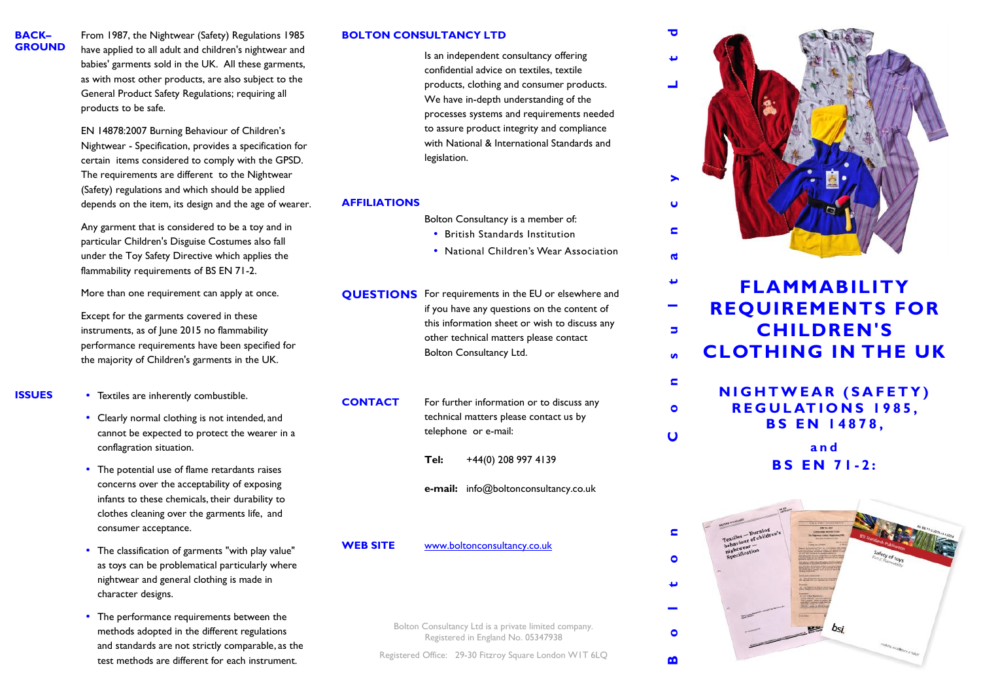**BACK– d** From 1987, the Nightwear (Safety) Regulations 1985 **BOLTON CONSULTANCY LTD D CONSULTANCY BOLTON GROUND** have applied to all adult and children's nightwear and babies' garments sold in the UK. All these garments, as with most other products, are also subject to the General Product Safety Regulations; requiring all products to be safe.

EN 14878:2007 Burning Behaviour of Children's Nightwear - Specification, provides a specification for certain items considered to comply with the GPSD. The requirements are different to the Nightwear (Safety) regulations and which should be applied depends on the item, its design and the age of wearer.

Any garment that is considered to be a toy and in particular Children's Disguise Costumes also fall under the Toy Safety Directive which applies the flammability requirements of BS EN 71-2.

More than one requirement can apply at once.

Except for the garments covered in these instruments, as of June 2015 no flammability performance requirements have been specified for the majority of Children's garments in the UK.

- 
- **ISSUES** Textiles are inherently combustible.
	- Clearly normal clothing is not intended, and cannot be expected to protect the wearer in a conflagration situation.
	- The potential use of flame retardants raises concerns over the acceptability of exposing infants to these chemicals, their durability to clothes cleaning over the garments life, and consumer acceptance.
	- The classification of garments "with play value" as toys can be problematical particularly where nightwear and general clothing is made in character designs.
	- The performance requirements between the methods adopted in the different regulations and standards are not strictly comparable, as the test methods are different for each instrument.

## **BOLTON CONSULTANCY LTD**

Is an independent consultancy offering confidential advice on textiles, textile products, clothing and consumer products. We have in-depth understanding of the processes systems and requirements needed to assure product integrity and compliance with National & International Standards and legislation.

# **AFFILIATIONS**

Bolton Consultancy is a member of:

- British Standards Institution
- National Children's Wear Association

**QUESTIONS** For requirements in the EU or elsewhere and if you have any questions on the content of this information sheet or wish to discuss any other technical matters please contact Bolton Consultancy Ltd.

**CONTACT** For further information or to discuss any technical matters please contact us by telephone or e-mail:

**Tel:** +44(0) 208 997 4139

**e-mail:** info@boltonconsultancy.co.uk

**WEB SITE** www.boltonconsultancy.co.uk

Bolton Consultancy Ltd is a private limited company. Registered in England No. 05347938

Registered Office: 29-30 Fitzroy Square London W1T 6LQ



پ **FLAMMABILITY REQUIREMENTS FOR**  $\overline{\phantom{a}}$ **CHILDREN'S<br>
CHILDREN'S<br>
LOTHING IN THE UK<br>
NIGHTWEAR (SAFETY)<br>
REGULATIONS 1985,<br>
RS EN 14878 CHILDREN'S**  $\blacksquare$ **CLOTHING IN THE UK**  $\mathbf{v}$ 

**CHILDREN'S<br>
OTHING IN THE UK**<br> **IGHTWEAR (SAFETY)**<br> **REGULATIONS 1985,**<br> **BS EN 14878,**<br>
and<br> **BS EN 71-2: FWEAR (SAFETY)<br>ULATIONS 1985,<br><b>3S EN** 14878,<br>and<br>**BS EN 71-2:** 

 $\blacksquare$ 

 $\bullet$ 

 $\overline{u}$